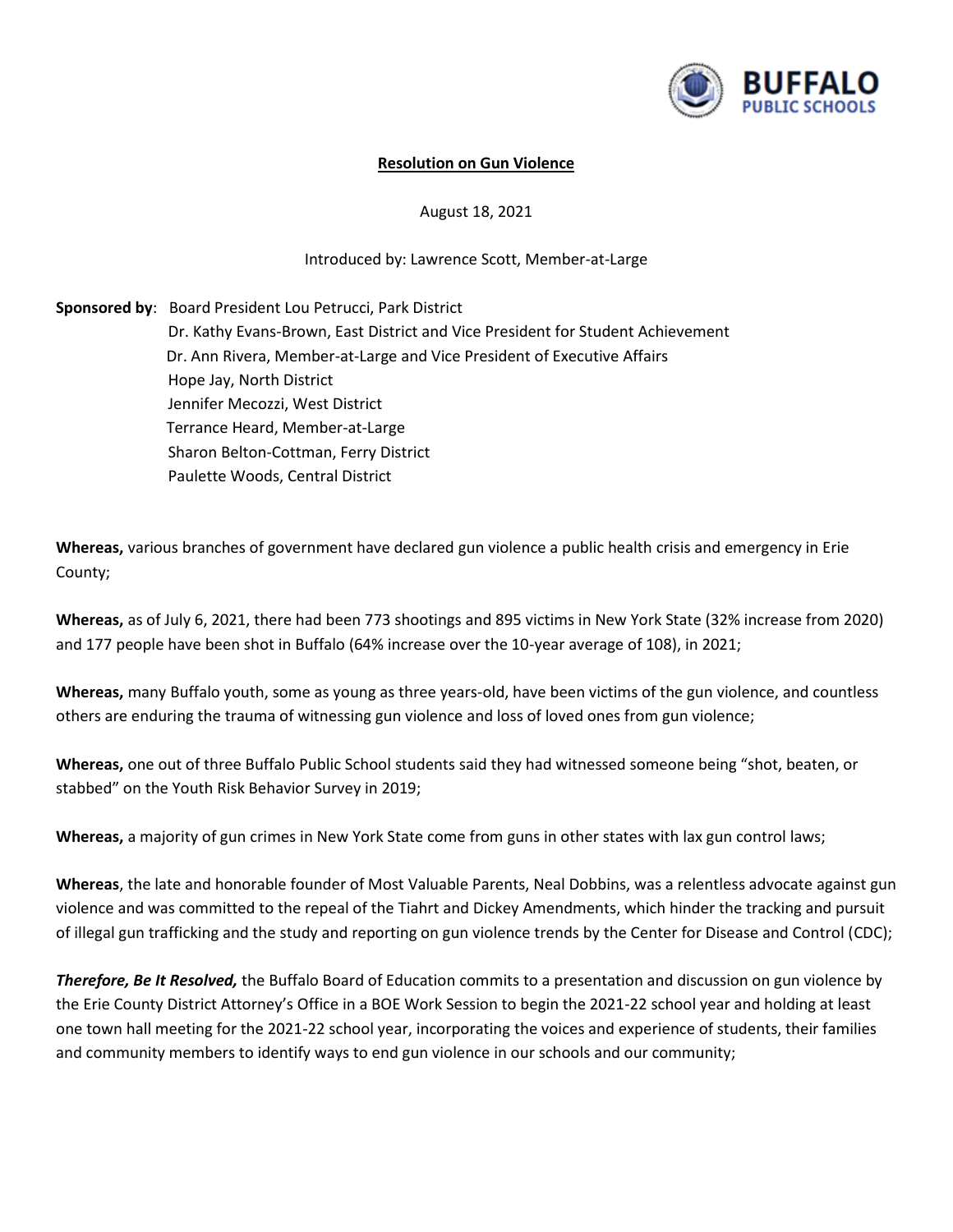

## **Resolution on Gun Violence**

August 18, 2021

## Introduced by: Lawrence Scott, Member-at-Large

**Sponsored by**: Board President Lou Petrucci, Park District Dr. Kathy Evans-Brown, East District and Vice President for Student Achievement Dr. Ann Rivera, Member-at-Large and Vice President of Executive Affairs Hope Jay, North District Jennifer Mecozzi, West District Terrance Heard, Member-at-Large Sharon Belton-Cottman, Ferry District Paulette Woods, Central District

**Whereas,** various branches of government have declared gun violence a public health crisis and emergency in Erie County;

**Whereas,** as of July 6, 2021, there had been 773 shootings and 895 victims in New York State (32% increase from 2020) and 177 people have been shot in Buffalo (64% increase over the 10-year average of 108), in 2021;

**Whereas,** many Buffalo youth, some as young as three years-old, have been victims of the gun violence, and countless others are enduring the trauma of witnessing gun violence and loss of loved ones from gun violence;

**Whereas,** one out of three Buffalo Public School students said they had witnessed someone being "shot, beaten, or stabbed" on the Youth Risk Behavior Survey in 2019;

**Whereas,** a majority of gun crimes in New York State come from guns in other states with lax gun control laws;

**Whereas**, the late and honorable founder of Most Valuable Parents, Neal Dobbins, was a relentless advocate against gun violence and was committed to the repeal of the Tiahrt and Dickey Amendments, which hinder the tracking and pursuit of illegal gun trafficking and the study and reporting on gun violence trends by the Center for Disease and Control (CDC);

*Therefore, Be It Resolved,* the Buffalo Board of Education commits to a presentation and discussion on gun violence by the Erie County District Attorney's Office in a BOE Work Session to begin the 2021-22 school year and holding at least one town hall meeting for the 2021-22 school year, incorporating the voices and experience of students, their families and community members to identify ways to end gun violence in our schools and our community;